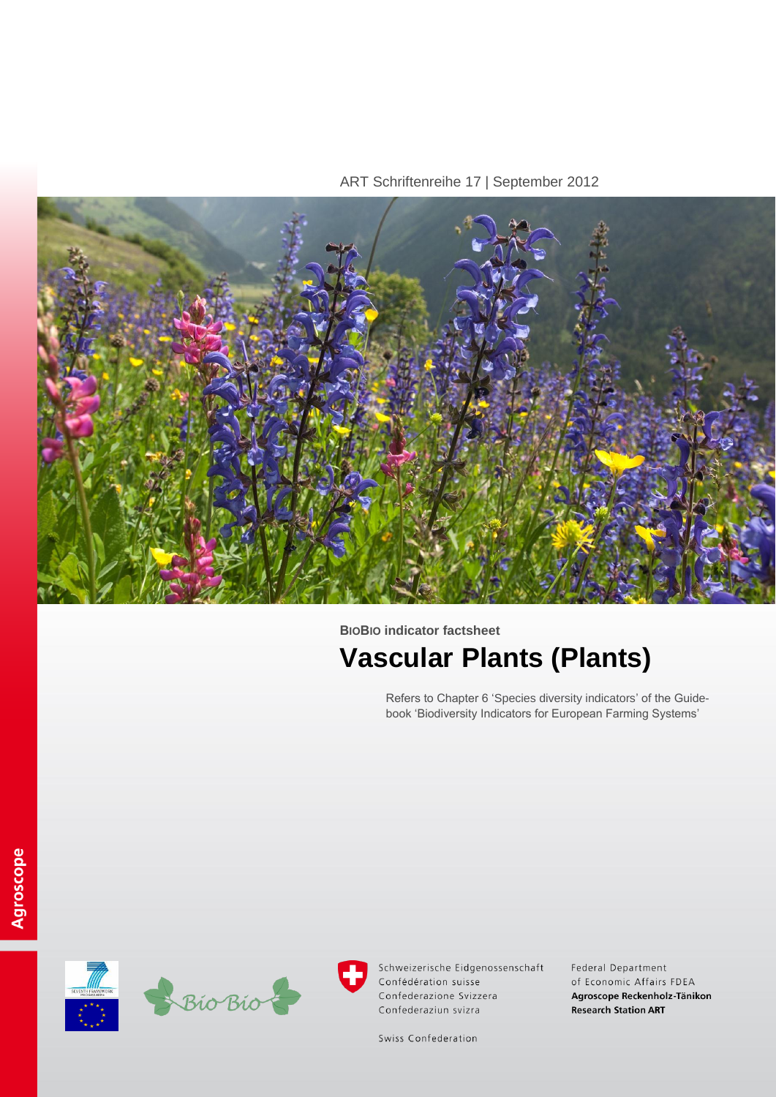ART Schriftenreihe 17 | September 2012



**BIOBIO indicator factsheet**

# **Vascular Plants (Plants)**

Refers to Chapter 6 'Species diversity indicators' of the Guidebook 'Biodiversity Indicators for European Farming Systems'



Schweizerische Eidgenossenschaft Confédération suisse Confederazione Svizzera Confederaziun svizra

Federal Department of Economic Affairs FDEA Agroscope Reckenholz-Tänikon **Research Station ART** 

Swiss Confederation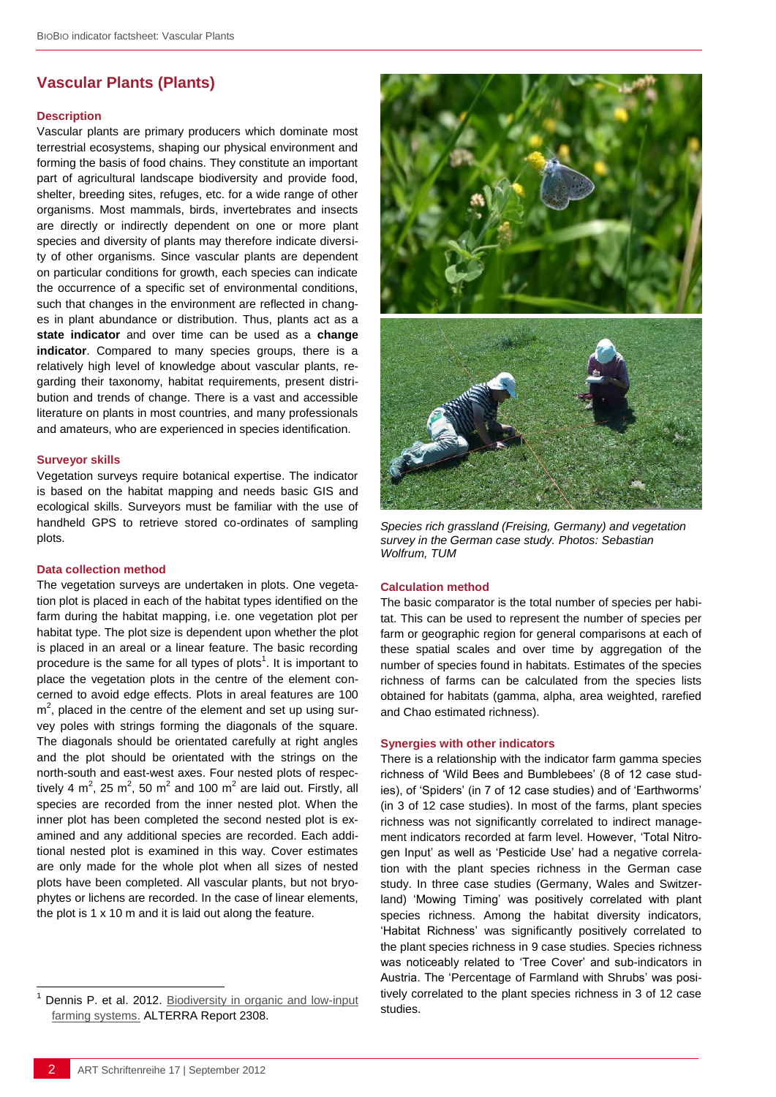# **Vascular Plants (Plants)**

#### **Description**

Vascular plants are primary producers which dominate most terrestrial ecosystems, shaping our physical environment and forming the basis of food chains. They constitute an important part of agricultural landscape biodiversity and provide food, shelter, breeding sites, refuges, etc. for a wide range of other organisms. Most mammals, birds, invertebrates and insects are directly or indirectly dependent on one or more plant species and diversity of plants may therefore indicate diversity of other organisms. Since vascular plants are dependent on particular conditions for growth, each species can indicate the occurrence of a specific set of environmental conditions, such that changes in the environment are reflected in changes in plant abundance or distribution. Thus, plants act as a **state indicator** and over time can be used as a **change indicator**. Compared to many species groups, there is a relatively high level of knowledge about vascular plants, regarding their taxonomy, habitat requirements, present distribution and trends of change. There is a vast and accessible literature on plants in most countries, and many professionals and amateurs, who are experienced in species identification.

#### **Surveyor skills**

Vegetation surveys require botanical expertise. The indicator is based on the habitat mapping and needs basic GIS and ecological skills. Surveyors must be familiar with the use of handheld GPS to retrieve stored co-ordinates of sampling plots.

#### **Data collection method**

The vegetation surveys are undertaken in plots. One vegetation plot is placed in each of the habitat types identified on the farm during the habitat mapping, i.e. one vegetation plot per habitat type. The plot size is dependent upon whether the plot is placed in an areal or a linear feature. The basic recording procedure is the same for all types of plots<sup>1</sup>. It is important to place the vegetation plots in the centre of the element concerned to avoid edge effects. Plots in areal features are 100  $m<sup>2</sup>$ , placed in the centre of the element and set up using survey poles with strings forming the diagonals of the square. The diagonals should be orientated carefully at right angles and the plot should be orientated with the strings on the north-south and east-west axes. Four nested plots of respectively 4 m<sup>2</sup>, 25 m<sup>2</sup>, 50 m<sup>2</sup> and 100 m<sup>2</sup> are laid out. Firstly, all species are recorded from the inner nested plot. When the inner plot has been completed the second nested plot is examined and any additional species are recorded. Each additional nested plot is examined in this way. Cover estimates are only made for the whole plot when all sizes of nested plots have been completed. All vascular plants, but not bryophytes or lichens are recorded. In the case of linear elements, the plot is 1 x 10 m and it is laid out along the feature.



*Species rich grassland (Freising, Germany) and vegetation survey in the German case study. Photos: Sebastian Wolfrum, TUM*

#### **Calculation method**

The basic comparator is the total number of species per habitat. This can be used to represent the number of species per farm or geographic region for general comparisons at each of these spatial scales and over time by aggregation of the number of species found in habitats. Estimates of the species richness of farms can be calculated from the species lists obtained for habitats (gamma, alpha, area weighted, rarefied and Chao estimated richness).

#### **Synergies with other indicators**

There is a relationship with the indicator farm gamma species richness of 'Wild Bees and Bumblebees' (8 of 12 case studies), of 'Spiders' (in 7 of 12 case studies) and of 'Earthworms' (in 3 of 12 case studies). In most of the farms, plant species richness was not significantly correlated to indirect management indicators recorded at farm level. However, 'Total Nitrogen Input' as well as 'Pesticide Use' had a negative correlation with the plant species richness in the German case study. In three case studies (Germany, Wales and Switzerland) 'Mowing Timing' was positively correlated with plant species richness. Among the habitat diversity indicators, 'Habitat Richness' was significantly positively correlated to the plant species richness in 9 case studies. Species richness was noticeably related to 'Tree Cover' and sub-indicators in Austria. The 'Percentage of Farmland with Shrubs' was positively correlated to the plant species richness in 3 of 12 case studies.

l

Dennis P. et al. 2012. Biodiversity in organic and low-input [farming systems.](http://www.biobio-indicator.org/deliverables.php) ALTERRA Report 2308.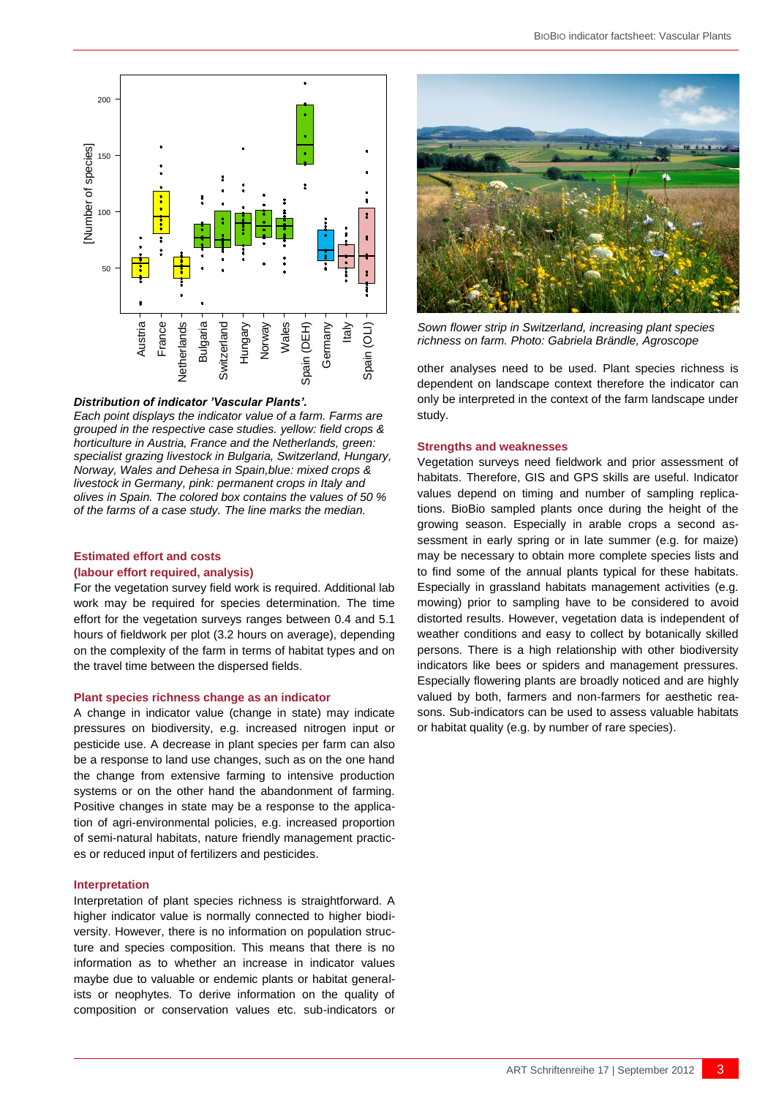



#### *Distribution of indicator 'Vascular Plants'.*

*Each point displays the indicator value of a farm. Farms are grouped in the respective case studies. yellow: field crops & horticulture in Austria, France and the Netherlands, green: specialist grazing livestock in Bulgaria, Switzerland, Hungary, Norway, Wales and Dehesa in Spain,blue: mixed crops & livestock in Germany, pink: permanent crops in Italy and olives in Spain. The colored box contains the values of 50 % of the farms of a case study. The line marks the median.*

#### **Estimated effort and costs (labour effort required, analysis)**

For the vegetation survey field work is required. Additional lab work may be required for species determination. The time effort for the vegetation surveys ranges between 0.4 and 5.1 hours of fieldwork per plot (3.2 hours on average), depending on the complexity of the farm in terms of habitat types and on the travel time between the dispersed fields.

#### **Plant species richness change as an indicator**

A change in indicator value (change in state) may indicate pressures on biodiversity, e.g. increased nitrogen input or pesticide use. A decrease in plant species per farm can also be a response to land use changes, such as on the one hand the change from extensive farming to intensive production systems or on the other hand the abandonment of farming. Positive changes in state may be a response to the application of agri-environmental policies, e.g. increased proportion of semi-natural habitats, nature friendly management practices or reduced input of fertilizers and pesticides.

#### **Interpretation**

Interpretation of plant species richness is straightforward. A higher indicator value is normally connected to higher biodiversity. However, there is no information on population structure and species composition. This means that there is no information as to whether an increase in indicator values maybe due to valuable or endemic plants or habitat generalists or neophytes. To derive information on the quality of composition or conservation values etc. sub-indicators or



*Sown flower strip in Switzerland, increasing plant species* 

other analyses need to be used. Plant species richness is dependent on landscape context therefore the indicator can only be interpreted in the context of the farm landscape under study.

#### **Strengths and weaknesses**

Vegetation surveys need fieldwork and prior assessment of habitats. Therefore, GIS and GPS skills are useful. Indicator values depend on timing and number of sampling replications. BioBio sampled plants once during the height of the growing season. Especially in arable crops a second assessment in early spring or in late summer (e.g. for maize) may be necessary to obtain more complete species lists and to find some of the annual plants typical for these habitats. Especially in grassland habitats management activities (e.g. mowing) prior to sampling have to be considered to avoid distorted results. However, vegetation data is independent of weather conditions and easy to collect by botanically skilled persons. There is a high relationship with other biodiversity indicators like bees or spiders and management pressures. Especially flowering plants are broadly noticed and are highly valued by both, farmers and non-farmers for aesthetic reasons. Sub-indicators can be used to assess valuable habitats or habitat quality (e.g. by number of rare species).